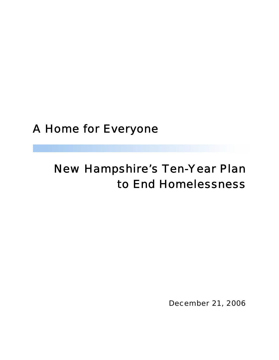# A Home for Everyone

# New Hampshire's Ten-Year Plan to End Homelessness

December 21, 2006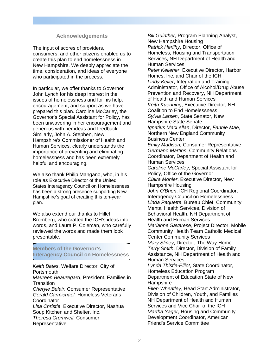#### **Acknowledgements**

The input of scores of providers, consumers, and other citizens enabled us to create this plan to end homelessness in New Hampshire. We deeply appreciate the time, consideration, and ideas of everyone who participated in the process.

In particular, we offer thanks to Governor John Lynch for his deep interest in the issues of homelessness and for his help, encouragement, and support as we have prepared this plan. Caroline McCarley, the Governor's Special Assistant for Policy, has been unwavering in her encouragement and generous with her ideas and feedback. Similarly, John A. Stephen, New Hampshire's Commissioner of Health and Human Services, clearly understands the importance of preventing and eliminating homelessness and has been extremely helpful and encouraging.

We also thank Philip Mangano, who, in his role as Executive Director of the United States Interagency Council on Homelessness, has been a strong presence supporting New Hampshire's goal of creating this ten-year plan.

We also extend our thanks to Hillel Bromberg, who crafted the ICH's ideas into words, and Laura P. Coleman, who carefully reviewed the words and made them look presentable.

**Members of the Governor's Interagency Council on Homelessness** 

*Keith Bates*, Welfare Director, City of **Portsmouth** *Maureen Beauregard*, President, Families in **Transition** *Cheryle Belair,* Consumer Representative *Gerald Carmichael,* Homeless Veterans **Coordinator** *Lisa Christie*, Executive Director, Nashua Soup Kitchen and Shelter, Inc. *Theresa Cromwell,* Consumer Representative

*Bill Guinther*, Program Planning Analyst, New Hampshire Housing *Patrick Herlihy*, Director, Office of Homeless, Housing and Transportation Services, NH Department of Health and Human Services *Peter Kelleher*, Executive Director, Harbor Homes, Inc. and Chair of the ICH *Lindy Keller*, Integration and Training Administrator, Office of Alcohol/Drug Abuse Prevention and Recovery, NH Department of Health and Human Services *Keith Kuenning*, Executive Director, NH Coalition to End Homelessness *Sylvia Larsen*, State Senator, New Hampshire State Senate *Ignatius MacLellan*, Director, *Fannie Mae*, Northern New England Community Business Center *Emily Madison,* Consumer Representative *Germano Martins*, Community Relations Coordinator, Department of Health and Human Services *Caroline McCarley*, Special Assistant for Policy, Office of the Governor *Claira Monier*, Executive Director, New Hampshire Housing *John O'Brien*, ICH Regional Coordinator, Interagency Council on Homelessness *Linda Paquette*, Bureau Chief, Community Mental Health Services, Division of Behavioral Health, NH Department of Health and Human Services *Marianne Savarese*, Project Director, Mobile Community Health Team Catholic Medical Center Community Services *Mary Sliney*, Director, The Way Home *Terry Smith*, Director, Division of Family Assistance, NH Department of Health and Human Services *Lynda Thistle-Elliot*, State Coordinator, Homeless Education Program Department of Education State of New **Hampshire** *Ellen Wheatley*, Head Start Administrator, Division of Children, Youth, and Families NH Department of Health and Human Services and Vice Chair of the ICH *Martha Yager*, Housing and Community Development Coordinator, American Friend's Service Committee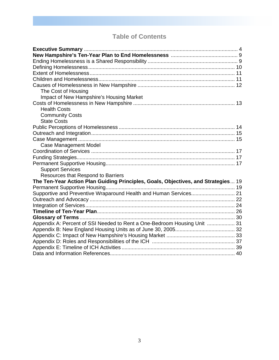# **Table of Contents**

| The Cost of Housing                                                               |  |
|-----------------------------------------------------------------------------------|--|
| Impact of New Hampshire's Housing Market                                          |  |
|                                                                                   |  |
| <b>Health Costs</b>                                                               |  |
| <b>Community Costs</b>                                                            |  |
| <b>State Costs</b>                                                                |  |
|                                                                                   |  |
|                                                                                   |  |
|                                                                                   |  |
| <b>Case Management Model</b>                                                      |  |
|                                                                                   |  |
|                                                                                   |  |
|                                                                                   |  |
| <b>Support Services</b>                                                           |  |
| Resources that Respond to Barriers                                                |  |
| The Ten-Year Action Plan Guiding Principles, Goals, Objectives, and Strategies 19 |  |
|                                                                                   |  |
| Supportive and Preventive Wraparound Health and Human Services 21                 |  |
|                                                                                   |  |
|                                                                                   |  |
|                                                                                   |  |
|                                                                                   |  |
| Appendix A: Percent of SSI Needed to Rent a One-Bedroom Housing Unit  31          |  |
|                                                                                   |  |
|                                                                                   |  |
|                                                                                   |  |
|                                                                                   |  |
|                                                                                   |  |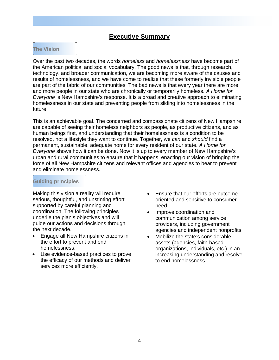## **Executive Summary**

### **The Vision**

Over the past two decades, the words *homeless* and *homelessness* have become part of the American political and social vocabulary. The good news is that, through research, technology, and broader communication, we are becoming more aware of the causes and results of homelessness, and we have come to realize that these formerly invisible people are part of the fabric of our communities. The bad news is that every year there are more and more people in our state who are chronically or temporarily homeless. *A Home for Everyone* is New Hampshire's response. It is a broad and creative approach to eliminating homelessness in our state and preventing people from sliding into homelessness in the future.

This is an achievable goal. The concerned and compassionate citizens of New Hampshire are capable of seeing their homeless neighbors as people, as productive citizens, and as human beings first, and understanding that their homelessness is a condition to be resolved, not a lifestyle they want to continue. Together, we *can* and *should* find a permanent, sustainable, adequate home for every resident of our state. *A Home for Everyone* shows how it can be done. Now it is up to every member of New Hampshire's urban and rural communities to ensure that it happens, enacting our vision of bringing the force of all New Hampshire citizens and relevant offices and agencies to bear to prevent and eliminate homelessness.

### **Guiding principles**

Making this vision a reality will require serious, thoughtful, and unstinting effort supported by careful planning and coordination. The following principles underlie the plan's objectives and will guide our actions and decisions through the next decade.

- Engage all New Hampshire citizens in the effort to prevent and end homelessness.
- Use evidence-based practices to prove the efficacy of our methods and deliver services more efficiently.
- Ensure that our efforts are outcomeoriented and sensitive to consumer need.
- Improve coordination and communication among service providers, including government agencies and independent nonprofits.
- Mobilize the state's considerable assets (agencies, faith-based organizations, individuals, etc.) in an increasing understanding and resolve to end homelessness.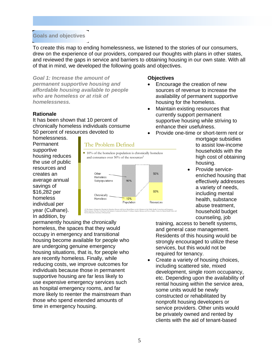#### **Goals and objectives**

To create this map to ending homelessness, we listened to the stories of our consumers, drew on the experience of our providers, compared our thoughts with plans in other states, and reviewed the gaps in service and barriers to obtaining housing in our own state. With all of that in mind, we developed the following goals and objectives.

*Goal 1: Increase the amount of permanent supportive housing and affordable housing available to people who are homeless or at risk of homelessness.* 

#### **Rationale**

It has been shown that 10 percent of chronically homeless individuals consume 50 percent of resources devoted to

#### **Objectives**

- Encourage the creation of new sources of revenue to increase the availability of permanent supportive housing for the homeless.
- Maintain existing resources that currently support permanent supportive housing while striving to enhance their usefulness.
- Provide one-time or short-term rent or

homelessness. Permanent supportive housing reduces the use of public resources and creates an average annual savings of \$16,282 per homeless individual per year (Culhane). In addition, by



mortgage subsidies to assist low-income households with the high cost of obtaining housing.

• Provide serviceenriched housing that effectively addresses a variety of needs, including mental health, substance abuse treatment, household budget counseling, job

permanently housing the chronically homeless, the spaces that they would occupy in emergency and transitional housing become available for people who are undergoing genuine emergency housing situations, that is, for people who are recently homeless. Finally, while reducing costs, we improve outcomes for individuals because those in permanent supportive housing are far less likely to use expensive emergency services such as hospital emergency rooms, and far more likely to reenter the mainstream than those who spend extended amounts of time in emergency housing.

training, access to benefit systems, and general case management. Residents of this housing would be strongly encouraged to utilize these services, but this would not be required for tenancy.

• Create a variety of housing choices, including scattered site, mixed development, single room occupancy, etc. Depending upon the availability of rental housing within the service area, some units would be newly constructed or rehabilitated by nonprofit housing developers or service providers. Other units would be privately owned and rented by clients with the aid of tenant-based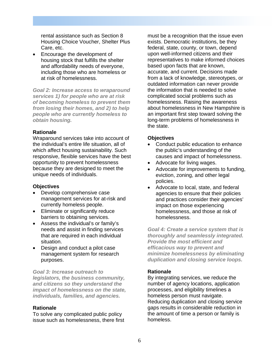rental assistance such as Section 8 Housing Choice Voucher, Shelter Plus Care, etc.

• Encourage the development of housing stock that fulfills the shelter and affordability needs of everyone, including those who are homeless or at risk of homelessness.

*Goal 2: Increase access to wraparound services 1) for people who are at risk of becoming homeless to prevent them from losing their homes, and 2) to help people who are currently homeless to obtain housing.* 

#### **Rationale**

Wraparound services take into account of the individual's entire life situation, all of which affect housing sustainability. Such responsive, flexible services have the best opportunity to prevent homelessness because they are designed to meet the unique needs of individuals.

#### **Objectives**

- Develop comprehensive case management services for at-risk and currently homeless people.
- Eliminate or significantly reduce barriers to obtaining services.
- Assess the individual's or family's needs and assist in finding services that are required in each individual situation.
- Design and conduct a pilot case management system for research purposes.

*Goal 3: Increase outreach to legislators, the business community, and citizens so they understand the impact of homelessness on the state, individuals, families, and agencies.* 

#### **Rationale**

To solve any complicated public policy issue such as homelessness, there first must be a recognition that the issue even exists. Democratic institutions, be they federal, state, county, or town, depend upon well-informed citizens and their representatives to make informed choices based upon facts that are known, accurate, and current. Decisions made from a lack of knowledge, stereotypes, or outdated information can never provide the information that is needed to solve complicated social problems such as homelessness. Raising the awareness about homelessness in New Hampshire is an important first step toward solving the long-term problems of homelessness in the state.

#### **Objectives**

- Conduct public education to enhance the public's understanding of the causes and impact of homelessness.
- Advocate for living wages.
- Advocate for improvements to funding, eviction, zoning, and other legal policies.
- Advocate to local, state, and federal agencies to ensure that their policies and practices consider their agencies' impact on those experiencing homelessness, and those at risk of homelessness.

*Goal 4: Create a service system that is thoroughly and seamlessly integrated. Provide the most efficient and efficacious way to prevent and minimize homelessness by eliminating duplication and closing service loops.* 

#### **Rationale**

By integrating services, we reduce the number of agency locations, application processes, and eligibility timelines a homeless person must navigate. Reducing duplication and closing service gaps results in considerable reduction in the amount of time a person or family is homeless.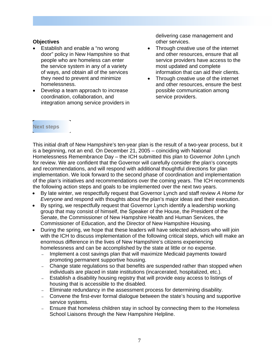#### **Objectives**

- Establish and enable a "no wrong" door" policy in New Hampshire so that people who are homeless can enter the service system in any of a variety of ways, and obtain all of the services they need to prevent and minimize homelessness.
- Develop a team approach to increase coordination, collaboration, and integration among service providers in

delivering case management and other services.

- Through creative use of the internet and other resources, ensure that all service providers have access to the most updated and complete information that can aid their clients.
- Through creative use of the internet and other resources, ensure the best possible communication among service providers.

#### **Next steps**

This initial draft of New Hampshire's ten-year plan is the result of a two-year process, but it is a beginning, not an end. On December 21, 2005 – coinciding with National Homelessness Remembrance Day – the ICH submitted this plan to Governor John Lynch for review. We are confident that the Governor will carefully consider the plan's concepts and recommendations, and will respond with additional thoughtful directions for plan implementation. We look forward to the second phase of coordination and implementation of the plan's initiatives and recommendations over the coming years. The ICH recommends the following action steps and goals to be implemented over the next two years.

- By late winter, we respectfully request that Governor Lynch and staff review *A Home for Everyone* and respond with thoughts about the plan's major ideas and their execution.
- By spring, we respectfully request that Governor Lynch identify a leadership working group that may consist of himself, the Speaker of the House, the President of the Senate, the Commissioner of New Hampshire Health and Human Services, the Commissioner of Education, and the Director of New Hampshire Housing.
- During the spring, we hope that these leaders will have selected advisors who will join with the ICH to discuss implementation of the following critical steps, which will make an enormous difference in the lives of New Hampshire's citizens experiencing homelessness and can be accomplished by the state at little or no expense.
	- Implement a cost savings plan that will maximize Medicaid payments toward promoting permanent supportive housing.
	- Change state regulations so that benefits are suspended rather than stopped when individuals are placed in state institutions (incarcerated, hospitalized, etc.).
	- Establish a disability housing registry that will provide easy access to listings of housing that is accessible to the disabled.
	- Eliminate redundancy in the assessment process for determining disability.
	- Convene the first-ever formal dialogue between the state's housing and supportive service systems.
	- Ensure that homeless children stay in school by connecting them to the Homeless School Liaisons through the New Hampshire Helpline.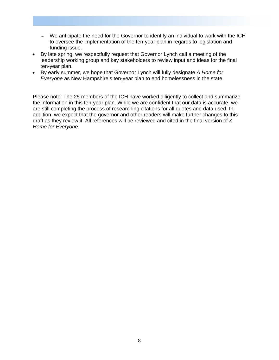- We anticipate the need for the Governor to identify an individual to work with the ICH to oversee the implementation of the ten-year plan in regards to legislation and funding issue.
- By late spring, we respectfully request that Governor Lynch call a meeting of the leadership working group and key stakeholders to review input and ideas for the final ten-year plan.
- By early summer, we hope that Governor Lynch will fully designate *A Home for Everyone* as New Hampshire's ten-year plan to end homelessness in the state.

Please note: The 25 members of the ICH have worked diligently to collect and summarize the information in this ten-year plan. While we are confident that our data is accurate, we are still completing the process of researching citations for all quotes and data used. In addition, we expect that the governor and other readers will make further changes to this draft as they review it. All references will be reviewed and cited in the final version of *A Home for Everyone.*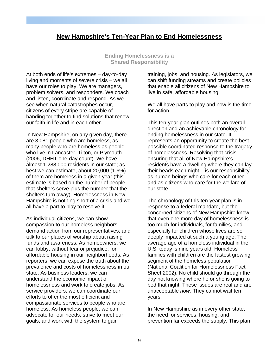# **New Hampshire's Ten-Year Plan to End Homelessness**

**Ending Homelessness is a Shared Responsibility** 

At both ends of life's extremes – day-to-day living and moments of severe crisis – we all have our roles to play. We are managers, problem solvers, and responders. We coach and listen, coordinate and respond. As we see when natural catastrophes occur, citizens of every stripe are capable of banding together to find solutions that renew our faith in life and in each other.

In New Hampshire, on any given day, there are 3,081 people who are homeless, as many people who are homeless as people who live in Lancaster, Tilton, or Plymouth (2006, DHHT one-day count). We have almost 1,288,000 residents in our state; as best we can estimate, about 20,000 (1.6%) of them are homeless in a given year (this estimate is based on the number of people that shelters serve plus the number that the shelters turn away). Homelessness in New Hampshire is nothing short of a crisis and we all have a part to play to resolve it.

As individual citizens, we can show compassion to our homeless neighbors, demand action from our representatives, and talk to our places of worship about raising funds and awareness. As homeowners, we can lobby, without fear or prejudice, for affordable housing in our neighborhoods. As reporters, we can expose the truth about the prevalence and costs of homelessness in our state. As business leaders, we can understand the economic impact of homelessness and work to create jobs. As service providers, we can coordinate our efforts to offer the most efficient and compassionate services to people who are homeless. As homeless people, we can advocate for our needs, strive to meet our goals, and work with the system to gain

training, jobs, and housing. As legislators, we can shift funding streams and create policies that enable all citizens of New Hampshire to live in safe, affordable housing.

We all have parts to play and now is the time for action.

This ten-year plan outlines both an overall direction and an achievable chronology for ending homelessness in our state. It represents an opportunity to create the best possible coordinated response to the tragedy of homelessness. Resolving that crisis – ensuring that all of New Hampshire's residents have a dwelling where they can lay their heads each night – is our responsibility as human beings who care for each other and as citizens who care for the welfare of our state.

The chronology of this ten-year plan is in response to a federal mandate, but the concerned citizens of New Hampshire know that even one more day of homelessness is too much for individuals, for families, and especially for children whose lives are so deeply impacted at such a young age. The average age of a homeless individual in the U.S. today is nine years old. Homeless families with children are the fastest growing segment of the homeless population (National Coalition for Homelessness Fact Sheet 2002). No child should go through the day not knowing where he or she is going to bed that night. These issues are real and are unacceptable *now.* They cannot wait ten years.

In New Hampshire as in every other state, the need for services, housing, and prevention far exceeds the supply. This plan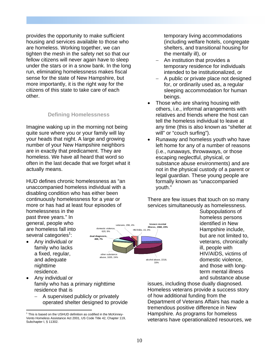provides the opportunity to make sufficient housing and services available to those who are homeless. Working together, we can tighten the mesh in the safety net so that our fellow citizens will never again have to sleep under the stars or in a snow bank. In the long run, eliminating homelessness makes fiscal sense for the state of New Hampshire, but more importantly, it is the right way for the citizens of this state to take care of each other.

#### **Defining Homelessness**

Imagine waking up in the morning not being quite sure where you or your family will lay your heads that night. A large and growing number of your New Hampshire neighbors are in exactly that predicament. They are homeless. We have all heard that word so often in the last decade that we forget what it actually means.

HUD defines chronic homelessness as "an unaccompanied homeless individual with a disabling condition who has either been continuously homelessness for a year or more or has had at least four episodes of

homelessness in the past three years." In general, people who are homeless fall into several categories<sup>1</sup>:

• Any individual or family who lacks a fixed, regular, and adequate nighttime residence.

 $\overline{a}$ 



temporary living accommodations (including welfare hotels, congregate shelters, and transitional housing for the mentally ill), or

- An institution that provides a temporary residence for individuals intended to be institutionalized, or
- − A public or private place not designed for, or ordinarily used as, a regular sleeping accommodation for human beings.
- Those who are sharing housing with others, i.e., informal arrangements with relatives and friends where the host can tell the homeless individual to leave at any time (this is also known as "shelter at will" or "couch surfing").
- Runaway and homeless youth who have left home for any of a number of reasons (i.e., runaways, throwaways, or those escaping neglectful, physical, or substance abuse environments) and are not in the physical custody of a parent or legal guardian. These young people are formally known as "unaccompanied youth."

There are few issues that touch on so many services simultaneously as homelessness.

> Subpopulations of homeless persons identified in New Hampshire include, but are not limited to, veterans, chronically ill, people with HIV/AIDS, victims of domestic violence, and those with longterm mental illness and substance abuse

- Any individual or family who has a primary nighttime residence that is
	- − A supervised publicly or privately operated shelter designed to provide

issues, including those dually diagnosed. Homeless veterans provide a success story of how additional funding from the Department of Veterans Affairs has made a tremendous positive difference in New Hampshire. As programs for homeless veterans have operationalized resources, we

<sup>&</sup>lt;sup>1</sup> This is based on the USHUD definition as codified in the McKinney-Vento Homeless Assistance Act 2001, US Code Title 42, Chapter 119, Subchapter I, § 11302.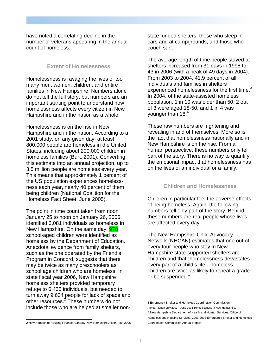have noted a correlating decline in the number of veterans appearing in the annual count of homeless.

#### **Extent of Homelessness**

Homelessness is ravaging the lives of too many men, women, children, and entire families in New Hampshire. Numbers alone do not tell the full story, but numbers are an important starting point to understand how homelessness affects every citizen in New Hampshire and in the nation as a whole.

Homelessness is on the rise in New Hampshire and in the nation. According to a 2001 study, on any given day, at least 800,000 people are homeless in the United States, including about 200,000 children in homeless families (Burt, 2001). Converting this estimate into an annual projection, up to 3.5 million people are homeless every year. This means that approximately 1 percent of the US population experiences homelessness each year, nearly 40 percent of them being children (National Coalition for the Homeless Fact Sheet, June 2005).

The point in time count taken from noon January 25 to noon on January 26, 2006, identified 3,081 individuals as homeless in New Hampshire. On the same day, **978** school-aged children were identified as homeless by the Department of Education. Anecdotal evidence from family shelters, such as the one operated by the Friend's Program in Concord, suggests that there may be twice as many preschoolers as school age children who are homeless. In state fiscal year 2006, New Hampshire homeless shelters provided temporary refuge to 6,435 individuals, but needed to turn away 9,634 people for lack of space and other resources.<sup>2</sup> These numbers do not include those who are helped at smaller non-

2 New Hampshire Housing Finance Authority New Hampshire Action Plan 2006

state funded shelters, those who sleep in cars and at campgrounds, and those who couch surf.

The average length of time people stayed at shelters increased from 31 days in 1998 to 43 in 2006 (with a peak of 49 days in 2004). From 2003 to 2004, 41.9 percent of all individuals and families in shelters experienced homelessness for the first time. $3$ In 2004, of the state-assisted homeless population, 1 in 10 was older than 50, 2 out of 3 were aged 18-50, and 1 in 4 was younger than  $18.<sup>4</sup>$ 

These raw numbers are frightening and revealing in and of themselves. More so is the fact that homelessness nationally and in New Hampshire is on the rise. From a human perspective, these numbers only tell part of the story. There is no way to quantify the emotional impact that homelessness has on the lives of an individual or a family.

#### **Children and Homelessness**

Children in particular feel the adverse effects of being homeless. Again, the following numbers tell only part of the story. Behind these numbers are real people whose lives are affected every day.

The New Hampshire Child Advocacy Network (NHCAN) estimates that one out of every four people who stay in New Hampshire state-supported shelters are children and that "homelessness devastates every part of a child's life…homeless children are twice as likely to repeat a grade or be suspended."

 3 Emergency Shelter and Homeless Coordination Commission Annual Report July 2003—June 2004 Homelessness in New Hampshire. 4 New Hampshire Department of Health and Human Services, Office of Homeless and Housing Services, 2003-2004 Emergency Shelter and Homeless Coordination Commission Annual Report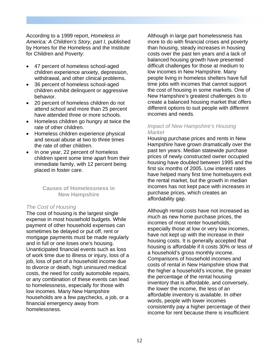According to a 1999 report, *Homeless in America: A Children's Story, part I,* published by Homes for the Homeless and the Institute for Children and Poverty:

- 47 percent of homeless school-aged children experience anxiety, depression, withdrawal, and other clinical problems.
- 36 percent of homeless school-aged children exhibit delinquent or aggressive behavior.
- 20 percent of homeless children do not attend school and more than 25 percent have attended three or more schools.
- Homeless children go hungry at twice the rate of other children.
- Homeless children experience physical and sexual abuse at two to three times the rate of other children.
- In one year, 22 percent of homeless children spent some time apart from their immediate family, with 12 percent being placed in foster care.

**Causes of Homelessness in New Hampshire** 

#### *The Cost of Housing*

The cost of housing is the largest single expense in most household budgets. While payment of other household expenses can sometimes be delayed or put off, rent or mortgage payments must be made regularly and in full or one loses one's housing. Unanticipated financial events such as loss of work time due to illness or injury, loss of a job, loss of part of a household income due to divorce or death, high uninsured medical costs, the need for costly automobile repairs, or any combination of these events can lead to homelessness, especially for those with low incomes. Many New Hampshire households are a few paychecks, a job, or a financial emergency away from homelessness.

Although in large part homelessness has more to do with financial crises and poverty than housing, steady increases in housing costs over the past ten years and a lack of balanced housing growth have presented difficult challenges for those at medium to low incomes in New Hampshire. Many people living in homeless shelters have full time jobs with incomes that cannot support the cost of housing in some markets. One of New Hampshire's greatest challenges is to create a balanced housing market that offers different options to suit people with different incomes and needs.

#### *Impact of New Hampshire's Housing Market*

Housing purchase prices and rents in New Hampshire have grown dramatically over the past ten years. Median statewide purchase prices of newly constructed owner occupied housing have doubled between 1995 and the first six months of 2005. Low interest rates have helped many first time homebuyers exit the rental market, but the growth in median incomes has not kept pace with increases in purchase prices, which creates an affordability gap.

Although rental costs have not increased as much as new home purchase prices, the incomes of most renter households, especially those at low or very low incomes, have not kept up with the increase in their housing costs. It is generally accepted that housing is affordable if it costs 30% or less of a household's gross monthly income. Comparisons of household incomes and costs of rental in New Hampshire show that the higher a household's income, the greater the percentage of the rental housing inventory that is affordable, and conversely, the lower the income, the less of an affordable inventory is available. In other words, people with lower incomes consistently pay a higher percentage of their income for rent because there is insufficient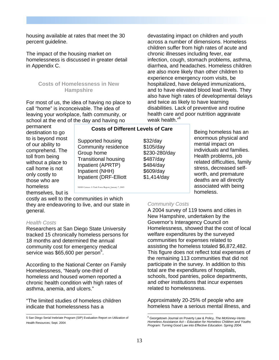housing available at rates that meet the 30 percent guideline.

The impact of the housing market on homelessness is discussed in greater detail in Appendix C.

#### **Costs of Homelessness in New Hampshire**

For most of us, the idea of having no place to call "home" is inconceivable. The idea of leaving your workplace, faith community, or school at the end of the day and having no

across a number of dimensions. Homeless children suffer from high rates of acute and chronic illnesses including fever, ear infection, cough, stomach problems, asthma, diarrhea, and headaches. Homeless children are also more likely than other children to experience emergency room visits, be hospitalized, have delayed immunizations, and to have elevated blood lead levels. They also have high rates of developmental delays and twice as likely to have learning disabilities. Lack of preventive and routine health care and poor nutrition aggravate weak health."<sup>6</sup>

devastating impact on children and youth

permanent destination to go to is beyond most of our ability to comprehend. The toll from being without a place to call home is not only costly to those who are homeless themselves, but is

Supported housing **\$32/day** Community residence \$105/day Group home \$230-280/day Transitional housing \$487/day Inpatient (APRTP) \$484/day Inpatient (NHH) \$609/day Inpatient (DRF-Elliott \$1,414/day NHH Census: A Task Force Report, January 7, 2005

costly as well to the communities in which they are endeavoring to live, and our state in general.

#### *Health Costs*

Researchers at San Diego State University tracked 15 chronically homeless persons for 18 months and determined the annual community cost for emergency medical service was \$65,600 per person<sup>5</sup>.

According to the National Center on Family Homelessness, "Nearly one-third of homeless and housed women reported a chronic health condition with high rates of asthma, anemia, and ulcers."

"The limited studies of homeless children indicate that homelessness has a

#### **Costs of Different Levels of Care**

Being homeless has an enormous physical and mental impact on individuals and families. Health problems, job related difficulties, family stress, decreased selfworth, and premature deaths are all directly associated with being homeless.

#### *Community Costs*

A 2004 survey of 119 towns and cities in New Hampshire, undertaken by the Governor's Interagency Council on Homelessness, showed that the cost of local welfare expenditures by the surveyed communities for expenses related to assisting the homeless totaled \$6,872,482. This figure does not reflect total expenses of the remaining 113 communities that did not participate in the survey. In addition to this total are the expenditures of hospitals, schools, food pantries, police departments, and other institutions that incur expenses related to homelessness.

Approximately 20-25% of people who are homeless have a serious mental illness, and

 $\overline{a}$ 

 5 San Diego Serial Inebriate Program (SIP) Evaluation Report on Utilization of Health Resources; Sept. 2004

<sup>6</sup> Georgetown Journal on Poverty Law & Policy, *The McKinney-Vento Homeless Assistance Act – Education for Homeless Children and Youths Program: Turning Good Law into Effective Education. Spring 2004.*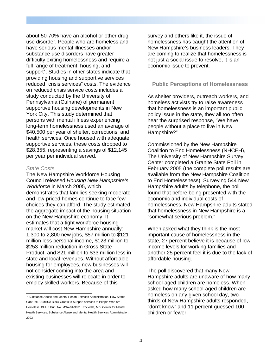about 50-70% have an alcohol or other drug use disorder. People who are homeless and have serious mental illnesses and/or substance use disorders have greater difficulty exiting homelessness and require a full range of treatment, housing, and support<sup>7</sup>. Studies in other states indicate that providing housing and supportive services reduced "crisis services" costs. The evidence on reduced crisis service costs includes a study conducted by the University of Pennsylvania (Culhane) of permanent supportive housing developments in New York City. This study determined that persons with mental illness experiencing long-term homelessness used an average of \$40,500 per year of shelter, corrections, and health services. Once housed with adequate supportive services, these costs dropped to \$28,355, representing a savings of \$12,145 per year per individual served.

#### *State Costs*

The New Hampshire Workforce Housing Council released *Housing New Hampshire's Workforce* in March 2005, which demonstrates that families seeking moderate and low-priced homes continue to face few choices they can afford. The study estimated the aggregate impact of the housing situation on the New Hampshire economy. It estimates that a tight workforce housing market will cost New Hampshire annually: 1,300 to 2,800 new jobs, \$57 million to \$121 million less personal income, \$123 million to \$253 million reduction in Gross State Product, and \$21 million to \$33 million less in state and local revenues. Without affordable housing for employees, new businesses will not consider coming into the area and existing businesses will relocate in order to employ skilled workers. Because of this

survey and others like it, the issue of homelessness has caught the attention of New Hampshire's business leaders. They are coming to realize that homelessness is not just a social issue to resolve, it is an economic issue to prevent.

#### **Public Perceptions of Homelessness**

As shelter providers, outreach workers, and homeless activists try to raise awareness that homelessness is an important public policy issue in the state, they all too often hear the surprised response, "We have people without a place to live in New Hampshire?"

Commissioned by the New Hampshire Coalition to End Homelessness (NHCEH), The University of New Hampshire Survey Center completed a Granite State Poll in February 2005 (the complete poll results are available from the New Hampshire Coalition to End Homelessness). Surveying 544 New Hampshire adults by telephone, the poll found that before being presented with the economic and individual costs of homelessness, New Hampshire adults stated that homelessness in New Hampshire is a "somewhat serious problem."

When asked what they think is the most important cause of homelessness in the state, 27 percent believe it is because of low income levels for working families and another 25 percent feel it is due to the lack of affordable housing.

The poll discovered that many New Hampshire adults are unaware of how many school-aged children are homeless. When asked how many school-aged children are homeless on any given school day, twothirds of New Hampshire adults responded, "don't know" and 11 percent guessed 100 children or fewer.

 7 Substance Abuse and Mental Health Services Administration. How States Can Use SAMHSA Block Grants to Support services to People Who are Homeless. DHHS Pub. No. MSA-04-3871. Rockville, MD: Center for Mental Health Services, Substance Abuse and Mental Health Services Administration. 2003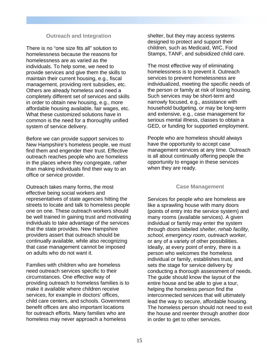#### **Outreach and Integration**

There is no "one size fits all" solution to homelessness because the reasons for homelessness are as varied as the individuals. To help some, we need to provide services and give them the skills to maintain their current housing, e.g., fiscal management, providing rent subsidies, etc. Others are already homeless and need a completely different set of services and skills in order to obtain new housing, e.g., more affordable housing available, fair wages, etc. What these customized solutions have in common is the need for a thoroughly unified system of service delivery.

Before we can provide support services to New Hampshire's homeless people, we must find them and engender their trust. Effective outreach reaches people who are homeless in the places where they congregate, rather than making individuals find their way to an office or service provider.

Outreach takes many forms, the most effective being social workers and representatives of state agencies hitting the streets to locate and talk to homeless people one on one. These outreach workers should be well trained in gaining trust and motivating individuals to take advantage of the services that the state provides. New Hampshire providers assert that outreach should be continually available, while also recognizing that case management cannot be imposed on adults who do not want it.

Families with children who are homeless need outreach services specific to their circumstances. One effective way of providing outreach to homeless families is to make it available where children receive services, for example in doctors' offices, child care centers, and schools. Government benefit offices are also important locations for outreach efforts. Many families who are homeless may never approach a homeless

shelter, but they may access systems designed to protect and support their children, such as Medicaid, WIC, Food Stamps, TANF, and subsidized child care.

The most effective way of eliminating homelessness is to prevent it. Outreach services to prevent homelessness are individualized, meeting the specific needs of the person or family at risk of losing housing. Such services may be short-term and narrowly focused, e.g., assistance with household budgeting, or may be long-term and extensive, e.g., case management for serious mental illness, classes to obtain a GED, or funding for supported employment.

People who are homeless should always have the opportunity to accept case management services at any time. Outreach is all about continually offering people the opportunity to engage in these services when they are ready.

#### **Case Management**

Services for people who are homeless are like a sprawling house with many doors (points of entry into the service system) and many rooms (available services). A given individual or family may enter the system through doors labeled *shelter, rehab facility, school, emergency room, outreach worker,* or any of a variety of other possibilities. Ideally, at every point of entry, there is a person who welcomes the homeless individual or family, establishes trust, and sets the stage for service delivery by conducting a thorough assessment of needs. The guide should know the layout of the entire house and be able to give a tour, helping the homeless person find the interconnected services that will ultimately lead the way to secure, affordable housing. The homeless person should not need to exit the house and reenter through another door in order to get to other services.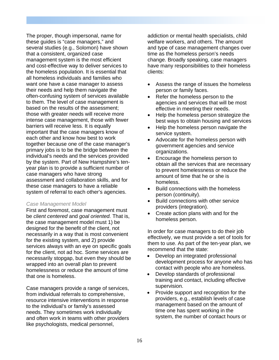The proper, though impersonal, name for these guides is "case managers," and several studies (e.g., Solomon) have shown that a consistent, organized case management system is the most efficient and cost-effective way to deliver services to the homeless population. It is essential that all homeless individuals and families who want one have a case manager to assess their needs and help them navigate the often-confusing system of services available to them. The level of case management is based on the results of the assessment; those with greater needs will receive more intense case management, those with fewer barriers will receive less. It is equally important that the case managers know of each other and know how best to work together because one of the case manager's primary jobs is to be the bridge between the individual's needs and the services provided by the system. Part of New Hampshire's tenyear plan is to provide a sufficient number of case managers who have strong assessment and collaboration skills, and for these case managers to have a reliable system of referral to each other's agencies.

#### *Case Management Model*

First and foremost, case management must be *client centered* and *goal oriented.* That is, the case management model must 1) be designed for the benefit of the client, not necessarily in a way that is most convenient for the existing system, and 2) provide services always with an eye on specific goals for the client, not ad hoc. Some services are necessarily stopgap, but even they should be wrapped into an overall plan to prevent homelessness or reduce the amount of time that one is homeless.

Case managers provide a range of services, from individual referrals to comprehensive, resource intensive interventions in response to the individual's or family's assessed needs. They sometimes work individually and often work in teams with other providers like psychologists, medical personnel,

addiction or mental health specialists, child welfare workers, and others. The amount and type of case management changes over time as the homeless person's needs change. Broadly speaking, case managers have many responsibilities to their homeless clients:

- Assess the range of issues the homeless person or family faces.
- Refer the homeless person to the agencies and services that will be most effective in meeting their needs.
- Help the homeless person strategize the best ways to obtain housing and services
- Help the homeless person navigate the service system.
- Advocate for the homeless person with government agencies and service organizations.
- Encourage the homeless person to obtain all the services that are necessary to prevent homelessness or reduce the amount of time that he or she is homeless.
- Build connections with the homeless person (continuity).
- Build connections with other service providers (integration).
- Create action plans with and for the homeless person.

In order for case managers to do their job effectively, we must provide a set of tools for them to use. As part of the ten-year plan, we recommend that the state:

- Develop an integrated professional development process for anyone who has contact with people who are homeless.
- Develop standards of professional training and contact, including effective supervision.
- Provide support and recognition for the providers, e.g., establish levels of case management based on the amount of time one has spent working in the system, the number of contact hours or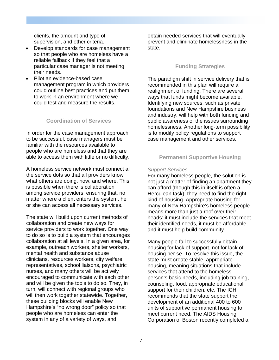clients, the amount and type of supervision, and other criteria.

- Develop standards for case management so that people who are homeless have a reliable fallback if they feel that a particular case manager is not meeting their needs.
- Pilot an evidence-based case management program in which providers could outline best practices and put them to work in an environment where we could test and measure the results.

#### **Coordination of Services**

In order for the case management approach to be successful, case managers must be familiar with the resources available to people who are homeless and that they are able to access them with little or no difficulty.

A homeless service network must connect all the service dots so that all providers know what others are doing, how, and where. This is possible when there is collaboration among service providers, ensuring that, no matter where a client enters the system, he or she can access all necessary services.

The state will build upon current methods of collaboration and create new ways for service providers to work together. One way to do so is to build a system that encourages collaboration at all levels. In a given area, for example, outreach workers, shelter workers, mental health and substance abuse clinicians, resources workers, city welfare representatives, school liaisons, psychiatric nurses, and many others will be actively encouraged to communicate with each other and will be given the tools to do so. They, in turn, will connect with regional groups who will then work together statewide. Together, these building blocks will enable New Hampshire's "no wrong door" policy so that people who are homeless can enter the system in any of a variety of ways, and

obtain needed services that will eventually prevent and eliminate homelessness in the state.

#### **Funding Strategies**

The paradigm shift in service delivery that is recommended in this plan will require a realignment of funding. There are several ways that funds might become available. Identifying new sources, such as private foundations and New Hampshire business and industry, will help with both funding and public awareness of the issues surrounding homelessness. Another long-term possibility is to modify policy regulations to support case management and other services.

#### **Permanent Supportive Housing**

#### *Support Services*

For many homeless people, the solution is not just a matter of finding an apartment they can afford (though this in itself is often a Herculean task); they need to find the right kind of housing. Appropriate housing for many of New Hampshire's homeless people means more than just a roof over their heads: it must include the services that meet their identified needs, it must be affordable, and it must help build community.

Many people fail to successfully obtain housing for lack of support, not for lack of housing per se. To resolve this issue, the state must create stable, appropriate housing, meaning situations that include services that attend to the homeless person's basic needs, including job training, counseling, food, appropriate educational support for their children, etc. The ICH recommends that the state support the development of an additional 400 to 600 units of supportive permanent housing to meet current need. The AIDS Housing Corporation of Boston recently completed a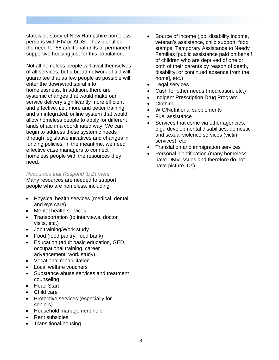statewide study of New Hampshire homeless persons with HIV or AIDS. They identified the need for 58 additional units of permanent supportive housing just for this population.

Not all homeless people will avail themselves of all services, but a broad network of aid will guarantee that as few people as possible will enter the downward spiral into homelessness. In addition, there are systemic changes that would make our service delivery significantly more efficient and effective, i.e., more and better training and an integrated, online system that would allow homeless people to apply for different kinds of aid in a coordinated way. We can begin to address these systemic needs through legislative initiatives and changes in funding policies. In the meantime, we need effective case managers to connect homeless people with the resources they need.

#### *Resources that Respond to Barriers*

Many resources are needed to support people who are homeless, including:

- Physical health services (medical, dental, and eye care)
- Mental health services
- Transportation (to interviews, doctor visits, etc.)
- Job training/Work study
- Food (food pantry, food bank)
- Education (adult basic education, GED, occupational training, career advancement, work study)
- Vocational rehabilitation
- Local welfare vouchers
- Substance abuse services and treatment counseling
- Head Start
- Child care
- Protective services (especially for seniors)
- Household management help
- Rent subsidies
- Transitional housing
- Source of income (job, disability income, veteran's assistance, child support, food stamps, Temporary Assistance to Needy Families [public assistance paid on behalf of children who are deprived of one or both of their parents by reason of death, disability, or continued absence from the home], etc.)
- Legal services
- Cash for other needs (medication, etc.)
- Indigent Prescription Drug Program
- Clothing
- WIC/Nutritional supplements
- Fuel assistance
- Services that come via other agencies, e.g., developmental disabilities, domestic and sexual violence services (victim services), etc.
- Translation and immigration services
- Personal identification (many homeless have DMV issues and therefore do not have picture IDs)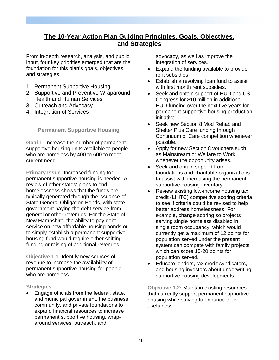# **The 10-Year Action Plan Guiding Principles, Goals, Objectives, and Strategies**

From in-depth research, analysis, and public input, four key priorities emerged that are the foundation for this plan's goals, objectives, and strategies.

- 1. Permanent Supportive Housing
- 2. Supportive and Preventive Wraparound Health and Human Services
- 3. Outreach and Advocacy
- 4. Integration of Services

#### **Permanent Supportive Housing**

**Goal 1:** Increase the number of permanent supportive housing units available to people who are homeless by 400 to 600 to meet current need.

**Primary Issue:** Increased funding for permanent supportive housing is needed. A review of other states' plans to end homelessness shows that the funds are typically generated through the issuance of State General Obligation Bonds, with state government paying the debt service from general or other revenues. For the State of New Hampshire, the ability to pay debt service on new affordable housing bonds or to simply establish a permanent supportive housing fund would require either shifting funding or raising of additional revenues.

**Objective 1.1:** Identify new sources of revenue to increase the availability of permanent supportive housing for people who are homeless.

#### **Strategies**

• Engage officials from the federal, state, and municipal government, the business community, and private foundations to expand financial resources to increase permanent supportive housing, wraparound services, outreach, and

advocacy, as well as improve the integration of services.

- Expand the funding available to provide rent subsidies.
- Establish a revolving loan fund to assist with first month rent subsidies.
- Seek and obtain support of HUD and US Congress for \$10 million in additional HUD funding over the next five years for permanent supportive housing production initiative.
- Seek new Section 8 Mod Rehab and Shelter Plus Care funding through Continuum of Care competition whenever possible.
- Apply for new Section 8 vouchers such as Mainstream or Welfare to Work whenever the opportunity arises.
- Seek and obtain support from foundations and charitable organizations to assist with increasing the permanent supportive housing inventory.
- Review existing low-income housing tax credit (LIHTC) competitive scoring criteria to see if criteria could be revised to help better address homelessness. For example, change scoring so projects serving single homeless disabled in single room occupancy, which would currently get a maximum of 12 points for population served under the present system can compete with family projects which can score 15-20 points for population served.
- Educate lenders, tax credit syndicators, and housing investors about underwriting supportive housing developments.

**Objective 1.2:** Maintain existing resources that currently support permanent supportive housing while striving to enhance their usefulness.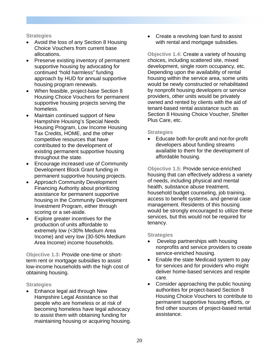#### **Strategies**

- Avoid the loss of any Section 8 Housing Choice Vouchers from current base allocations.
- Preserve existing inventory of permanent supportive housing by advocating for continued "hold harmless" funding approach by HUD for annual supportive housing program renewals.
- When feasible, project-base Section 8 Housing Choice Vouchers for permanent supportive housing projects serving the homeless.
- Maintain continued support of New Hampshire Housing's Special Needs Housing Program, Low Income Housing Tax Credits, HOME, and the other competitive resources that have contributed to the development of existing permanent supportive housing throughout the state.
- Encourage increased use of Community Development Block Grant funding in permanent supportive housing projects.
- Approach Community Development Financing Authority about prioritizing assistance for permanent supportive housing in the Community Development Investment Program, either through scoring or a set-aside.
- Explore greater incentives for the production of units affordable to extremely low (<30% Medium Area Income) and very low (30-50% Medium Area Income) income households.

**Objective 1.3:** Provide one-time or shortterm rent or mortgage subsidies to assist low-income households with the high cost of obtaining housing.

#### **Strategies**

• Enhance legal aid through New Hampshire Legal Assistance so that people who are homeless or at risk of becoming homeless have legal advocacy to assist them with obtaining funding for maintaining housing or acquiring housing. • Create a revolving loan fund to assist with rental and mortgage subsidies.

**Objective 1.4:** Create a variety of housing choices, including scattered site, mixed development, single room occupancy, etc. Depending upon the availability of rental housing within the service area, some units would be newly constructed or rehabilitated by nonprofit housing developers or service providers, other units would be privately owned and rented by clients with the aid of tenant-based rental assistance such as Section 8 Housing Choice Voucher, Shelter Plus Care, etc.

#### **Strategies**

• Educate both for-profit and not-for-profit developers about funding streams available to them for the development of affordable housing.

**Objective 1.5:** Provide service-enriched housing that can effectively address a variety of needs, including physical and mental health, substance abuse treatment, household budget counseling, job training, access to benefit systems, and general case management. Residents of this housing would be strongly encouraged to utilize these services, but this would not be required for tenancy.

- Develop partnerships with housing nonprofits and service providers to create service-enriched housing.
- Enable the state Medicaid system to pay for services and for providers who might deliver home-based services and respite care.
- Consider approaching the public housing authorities for project-based Section 8 Housing Choice Vouchers to contribute to permanent supportive housing efforts, or find other sources of project-based rental assistance.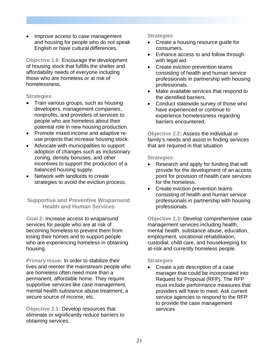• Improve access to case management and housing for people who do not speak English or have cultural differences.

**Objective 1.6:** Encourage the development of housing stock that fulfills the shelter and affordability needs of everyone including those who are homeless or at risk of homelessness.

#### **Strategies**

- Train various groups, such as housing developers, management companies, nonprofits, and providers of services to people who are homeless about their potential role in new housing production.
- Promote mixed income and adaptive reuse projects that increase housing stock.
- Advocate with municipalities to support adoption of changes such as inclusionary zoning, density bonuses, and other incentives to support the production of a balanced housing supply.
- Network with landlords to create strategies to avoid the eviction process.

#### **Supportive and Preventive Wraparound Health and Human Services**

**Goal 2:** Increase access to wraparound services for people who are at risk of becoming homeless to prevent them from losing their homes and to support people who are experiencing homeless in obtaining housing.

**Primary Issue:** In order to stabilize their lives and reenter the mainstream people who are homeless often need more than a permanent, affordable home. They require supportive services like case management, mental health substance abuse treatment, a secure source of income, etc.

**Objective 2.1:** Develop resources that eliminate or significantly reduce barriers to obtaining services.

#### **Strategies**

- Create a housing resource guide for consumers.
- Enhance access to and follow through with legal aid.
- Create eviction prevention teams consisting of health and human service professionals in partnership with housing professionals.
- Make available services that respond to the identified barriers.
- Conduct statewide survey of those who have experienced or continue to experience homelessness regarding barriers encountered.

**Objective 2.2:** Assess the individual or family's needs and assist in finding services that are required in that situation

#### **Strategies**

- Research and apply for funding that will provide for the development of an access point for provision of health care services for the homeless.
- Create eviction prevention teams consisting of health and human service professionals in partnership with housing professionals.

**Objective 2.3:** Develop comprehensive case management services including health, mental health, substance abuse, education, employment, vocational rehabilitation, custodial, child care, and housekeeping for at-risk and currently homeless people.

#### **Strategies**

• Create a job description of a case manager that could be incorporated into Request for Proposal (RFP). The RFP must include performance measures that providers will have to meet. Ask current service agencies to respond to the RFP to provide the case management services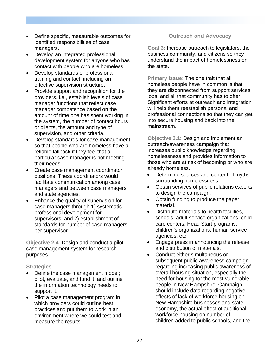- Define specific, measurable outcomes for identified responsibilities of case managers.
- Develop an integrated professional development system for anyone who has contact with people who are homeless.
- Develop standards of professional training and contact, including an effective supervision structure.
- Provide support and recognition for the providers, i.e., establish levels of case manager functions that reflect case manager competence based on the amount of time one has spent working in the system, the number of contact hours or clients, the amount and type of supervision, and other criteria.
- Develop standards for case management so that people who are homeless have a reliable fallback if they feel that a particular case manager is not meeting their needs.
- Create case management coordinator positions. These coordinators would facilitate communication among case managers and between case managers and state agencies.
- Enhance the quality of supervision for case managers through 1) systematic professional development for supervisors, and 2) establishment of standards for number of case managers per supervisor.

**Objective 2.4:** Design and conduct a pilot case management system for research purposes.

#### **Strategies**

- Define the case management model; pilot, evaluate, and fund it; and outline the information technology needs to support it.
- Pilot a case management program in which providers could outline best practices and put them to work in an environment where we could test and measure the results.

#### **Outreach and Advocacy**

**Goal 3:** Increase outreach to legislators, the business community, and citizens so they understand the impact of homelessness on the state.

**Primary Issue:** The one trait that all homeless people have in common is that they are disconnected from support services, jobs, and all that community has to offer. Significant efforts at outreach and integration will help them reestablish personal and professional connections so that they can get into secure housing and back into the mainstream.

**Objective 3.1:** Design and implement an outreach/awareness campaign that increases public knowledge regarding homelessness and provides information to those who are at risk of becoming or who are already homeless.

- Determine sources and content of myths surrounding homelessness.
- Obtain services of public relations experts to design the campaign.
- Obtain funding to produce the paper material.
- Distribute materials to health facilities, schools, adult service organizations, child care centers, Head Start programs, children's organizations, human service agencies, etc.
- Engage press in announcing the release and distribution of materials.
- Conduct either simultaneous or subsequent public awareness campaign regarding increasing public awareness of overall housing situation, especially the need for housing for the most vulnerable people in New Hampshire. Campaign should include data regarding negative effects of lack of workforce housing on New Hampshire businesses and state economy, the actual effect of additional workforce housing on number of children added to public schools, and the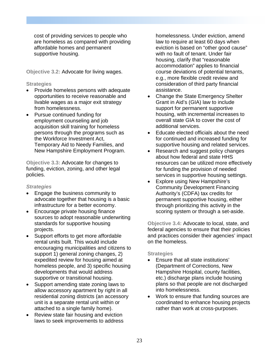cost of providing services to people who are homeless as compared with providing affordable homes and permanent supportive housing.

**Objective 3.2:** Advocate for living wages.

#### **Strategies**

- Provide homeless persons with adequate opportunities to receive reasonable and livable wages as a major exit strategy from homelessness.
- Pursue continued funding for employment counseling and job acquisition skill training for homeless persons through the programs such as the Workforce Investment Act, Temporary Aid to Needy Families, and New Hampshire Employment Program.

**Objective 3.3:** Advocate for changes to funding, eviction, zoning, and other legal policies.

#### *Strategies*

- Engage the business community to advocate together that housing is a basic infrastructure for a better economy.
- Encourage private housing finance sources to adopt reasonable underwriting standards for supportive housing projects.
- Support efforts to get more affordable rental units built. This would include encouraging municipalities and citizens to support 1) general zoning changes, 2) expedited review for housing aimed at homeless people, and 3) specific housing developments that would address supportive or transitional housing.
- Support amending state zoning laws to allow accessory apartment by right in all residential zoning districts (an accessory unit is a separate rental unit within or attached to a single family home).
- Review state fair housing and eviction laws to seek improvements to address

homelessness. Under eviction, amend law to require at least 60 days when eviction is based on "other good cause" with no fault of tenant. Under fair housing, clarify that "reasonable accommodation" applies to financial course deviations of potential tenants, e.g., more flexible credit review and consideration of third party financial assistance.

- Change the State Emergency Shelter Grant in Aid's (GIA) law to include support for permanent supportive housing, with incremental increases to overall state GIA to cover the cost of additional services.
- Educate elected officials about the need for continued and increased funding for supportive housing and related services.
- Research and suggest policy changes about how federal and state HHS resources can be utilized more effectively for funding the provision of needed services in supportive housing settings.
- Explore using New Hampshire's Community Development Financing Authority's (CDFA) tax credits for permanent supportive housing, either through prioritizing this activity in the scoring system or through a set-aside.

**Objective 3.4:** Advocate to local, state, and federal agencies to ensure that their policies and practices consider their agencies' impact on the homeless.

- Ensure that all state institutions' (Department of Corrections, New Hampshire Hospital, county facilities, etc.) discharge plans include housing plans so that people are not discharged into homelessness.
- Work to ensure that funding sources are coordinated to enhance housing projects rather than work at cross-purposes.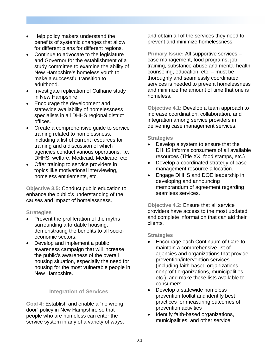- Help policy makers understand the benefits of systemic changes that allow for different plans for different regions.
- Continue to advocate to the legislature and Governor for the establishment of a study committee to examine the ability of New Hampshire's homeless youth to make a successful transition to adulthood.
- Investigate replication of Culhane study in New Hampshire.
- Encourage the development and statewide availability of homelessness specialists in all DHHS regional district offices.
- Create a comprehensive guide to service training related to homelessness, including a list of current resources for training and a discussion of which agencies conduct various operations, i.e., DHHS, welfare, Medicaid, Medicare, etc.
- Offer training to service providers in topics like motivational interviewing, homeless entitlements, etc.

**Objective 3.5:** Conduct public education to enhance the public's understanding of the causes and impact of homelessness.

#### **Strategies**

- Prevent the proliferation of the myths surrounding affordable housing, demonstrating the benefits to all socioeconomic sectors.
- Develop and implement a public awareness campaign that will increase the public's awareness of the overall housing situation, especially the need for housing for the most vulnerable people in New Hampshire.

#### **Integration of Services**

**Goal 4:** Establish and enable a "no wrong door" policy in New Hampshire so that people who are homeless can enter the service system in any of a variety of ways, and obtain all of the services they need to prevent and minimize homelessness.

**Primary Issue:** All supportive services – case management, food programs, job training, substance abuse and mental health counseling, education, etc. – must be thoroughly and seamlessly coordinated services is needed to prevent homelessness and minimize the amount of time that one is homeless.

**Objective 4.1:** Develop a team approach to increase coordination, collaboration, and integration among service providers in delivering case management services.

#### **Strategies**

- Develop a system to ensure that the DHHS informs consumers of all available resources (Title XX, food stamps, etc.)
- Develop a coordinated strategy of case management resource allocation.
- Engage DHHS and DOE leadership in developing and announcing memorandum of agreement regarding seamless services.

**Objective 4.2:** Ensure that all service providers have access to the most updated and complete information that can aid their clients.

- Encourage each Continuum of Care to maintain a comprehensive list of agencies and organizations that provide prevention/intervention services (including faith-based organizations, nonprofit organizations, municipalities, etc.), and make these lists available to consumers.
- Develop a statewide homeless prevention toolkit and identify best practices for measuring outcomes of prevention activities
- Identify faith-based organizations, municipalities, and other service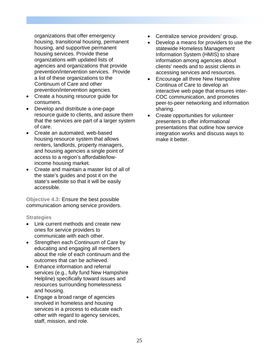organizations that offer emergency housing, transitional housing, permanent housing, and supportive permanent housing services. Provide these organizations with updated lists of agencies and organizations that provide prevention/intervention services. Provide a list of these organizations to the Continuum of Care and other prevention/intervention agencies.

- Create a housing resource guide for consumers.
- Develop and distribute a one-page resource guide to clients, and assure them that the services are part of a larger system of care.
- Create an automated, web-based housing resource system that allows renters, landlords, property managers, and housing agencies a single point of access to a region's affordable/lowincome housing market.
- Create and maintain a master list of all of the state's guides and post it on the state's website so that it will be easily accessible.

**Objective 4.3:** Ensure the best possible communication among service providers.

- Link current methods and create new ones for service providers to communicate with each other.
- Strengthen each Continuum of Care by educating and engaging all members about the role of each continuum and the outcomes that can be achieved.
- Enhance information and referral services (e.g., fully fund New Hampshire Helpline) specifically toward issues and resources surrounding homelessness and housing.
- Engage a broad range of agencies involved in homeless and housing services in a process to educate each other with regard to agency services, staff, mission, and role.
- Centralize service providers' group.
- Develop a means for providers to use the statewide Homeless Management Information System (HMIS) to share information among agencies about clients' needs and to assist clients in accessing services and resources.
- Encourage all three New Hampshire Continua of Care to develop an interactive web page that ensures inter-COC communication, and promotes peer-to-peer networking and information sharing.
- Create opportunities for volunteer presenters to offer informational presentations that outline how service integration works and discuss ways to make it better.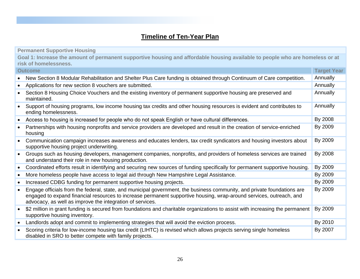# **Timeline of Ten-Year Plan**

|           | <b>Permanent Supportive Housing</b>                                                                                                                                                                                                                                                                         |                    |
|-----------|-------------------------------------------------------------------------------------------------------------------------------------------------------------------------------------------------------------------------------------------------------------------------------------------------------------|--------------------|
|           | Goal 1: Increase the amount of permanent supportive housing and affordable housing available to people who are homeless or at<br>risk of homelessness.                                                                                                                                                      |                    |
|           | <b>Outcome</b>                                                                                                                                                                                                                                                                                              | <b>Target Year</b> |
| $\bullet$ | New Section 8 Modular Rehabilitation and Shelter Plus Care funding is obtained through Continuum of Care competition.                                                                                                                                                                                       | Annually           |
| $\bullet$ | Applications for new section 8 vouchers are submitted.                                                                                                                                                                                                                                                      | Annually           |
| $\bullet$ | Section 8 Housing Choice Vouchers and the existing inventory of permanent supportive housing are preserved and<br>maintained.                                                                                                                                                                               | Annually           |
| $\bullet$ | Support of housing programs, low income housing tax credits and other housing resources is evident and contributes to<br>ending homelessness.                                                                                                                                                               | Annually           |
| $\bullet$ | Access to housing is increased for people who do not speak English or have cultural differences.                                                                                                                                                                                                            | By 2008            |
| $\bullet$ | Partnerships with housing nonprofits and service providers are developed and result in the creation of service-enriched<br>housing                                                                                                                                                                          | By 2009            |
| $\bullet$ | Communication campaign increases awareness and educates lenders, tax credit syndicators and housing investors about<br>supportive housing project underwriting.                                                                                                                                             | By 2009            |
| $\bullet$ | Groups such as housing developers, management companies, nonprofits, and providers of homeless services are trained<br>and understand their role in new housing production.                                                                                                                                 | By 2008            |
| $\bullet$ | Coordinated efforts result in identifying and securing new sources of funding specifically for permanent supportive housing.                                                                                                                                                                                | By 2009            |
| $\bullet$ | More homeless people have access to legal aid through New Hampshire Legal Assistance.                                                                                                                                                                                                                       | By 2009            |
| $\bullet$ | Increased CDBG funding for permanent supportive housing projects.                                                                                                                                                                                                                                           | By 2009            |
| $\bullet$ | Engage officials from the federal, state, and municipal government, the business community, and private foundations are<br>engaged to expand financial resources to increase permanent supportive housing, wrap-around services, outreach, and<br>advocacy, as well as improve the integration of services. | By 2009            |
| $\bullet$ | \$2 million in grant funding is secured from foundations and charitable organizations to assist with increasing the permanent<br>supportive housing inventory.                                                                                                                                              | By 2009            |
| $\bullet$ | Landlords adopt and commit to implementing strategies that will avoid the eviction process.                                                                                                                                                                                                                 | By 2010            |
| $\bullet$ | Scoring criteria for low-income housing tax credit (LIHTC) is revised which allows projects serving single homeless<br>disabled in SRO to better compete with family projects.                                                                                                                              | By 2007            |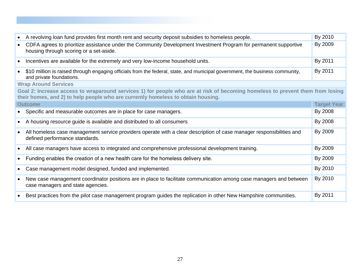| $\bullet$                                                                                                                                                                                                         | A revolving loan fund provides first month rent and security deposit subsidies to homeless people.                                                          | By 2010            |  |  |
|-------------------------------------------------------------------------------------------------------------------------------------------------------------------------------------------------------------------|-------------------------------------------------------------------------------------------------------------------------------------------------------------|--------------------|--|--|
| $\bullet$                                                                                                                                                                                                         | CDFA agrees to prioritize assistance under the Community Development Investment Program for permanent supportive<br>housing through scoring or a set-aside. | By 2009            |  |  |
| $\bullet$                                                                                                                                                                                                         | Incentives are available for the extremely and very low-income household units.                                                                             | By 2011            |  |  |
| $\bullet$                                                                                                                                                                                                         | \$10 million is raised through engaging officials from the federal, state, and municipal government, the business community,<br>and private foundations.    | By 2011            |  |  |
|                                                                                                                                                                                                                   | <b>Wrap Around Services</b>                                                                                                                                 |                    |  |  |
| Goal 2: Increase access to wraparound services 1) for people who are at risk of becoming homeless to prevent them from losing<br>their homes, and 2) to help people who are currently homeless to obtain housing. |                                                                                                                                                             |                    |  |  |
|                                                                                                                                                                                                                   | <b>Outcome</b>                                                                                                                                              | <b>Target Year</b> |  |  |
| $\bullet$                                                                                                                                                                                                         | Specific and measurable outcomes are in place for case managers.                                                                                            | By 2008            |  |  |
| $\bullet$                                                                                                                                                                                                         | A housing resource guide is available and distributed to all consumers                                                                                      | By 2008            |  |  |
| $\bullet$                                                                                                                                                                                                         | All homeless case management service providers operate with a clear description of case manager responsibilities and<br>defined performance standards.      | By 2009            |  |  |
| $\bullet$                                                                                                                                                                                                         | All case managers have access to integrated and comprehensive professional development training.                                                            | By 2009            |  |  |
| $\bullet$                                                                                                                                                                                                         | Funding enables the creation of a new health care for the homeless delivery site.                                                                           | By 2009            |  |  |
|                                                                                                                                                                                                                   | Case management model designed, funded and implemented.                                                                                                     | By 2010            |  |  |
| $\bullet$                                                                                                                                                                                                         | New case management coordinator positions are in place to facilitate communication among case managers and between<br>case managers and state agencies.     | By 2010            |  |  |
|                                                                                                                                                                                                                   | Best practices from the pilot case management program guides the replication in other New Hampshire communities.                                            | By 2011            |  |  |
|                                                                                                                                                                                                                   |                                                                                                                                                             |                    |  |  |
|                                                                                                                                                                                                                   |                                                                                                                                                             |                    |  |  |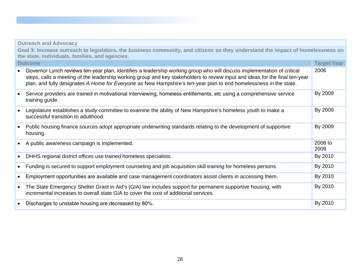|                | <b>Outreach and Advocacy</b>                                                                                                                                                                                                                                                                                                                                                 |                 |  |  |  |  |
|----------------|------------------------------------------------------------------------------------------------------------------------------------------------------------------------------------------------------------------------------------------------------------------------------------------------------------------------------------------------------------------------------|-----------------|--|--|--|--|
|                | Goal 3: Increase outreach to legislators, the business community, and citizens so they understand the impact of homelessness on<br>the state, individuals, families, and agencies.                                                                                                                                                                                           |                 |  |  |  |  |
| <b>Outcome</b> |                                                                                                                                                                                                                                                                                                                                                                              |                 |  |  |  |  |
| $\bullet$      | Governor Lynch reviews ten-year plan, identifies a leadership working group who will discuss implementation of critical<br>steps, calls a meeting of the leadership working group and key stakeholders to review input and ideas for the final ten-year<br>plan, and fully designates A Home for Everyone as New Hampshire's ten-year plan to end homelessness in the state. | 2006            |  |  |  |  |
| $\bullet$      | Service providers are trained in motivational interviewing, homeless entitlements, etc using a comprehensive service<br>training guide.                                                                                                                                                                                                                                      | By 2009         |  |  |  |  |
| $\bullet$      | Legislature establishes a study committee to examine the ability of New Hampshire's homeless youth to make a<br>successful transition to adulthood.                                                                                                                                                                                                                          | By 2009         |  |  |  |  |
| $\bullet$      | Public housing finance sources adopt appropriate underwriting standards relating to the development of supportive<br>housing.                                                                                                                                                                                                                                                | By 2009         |  |  |  |  |
| $\bullet$      | A public awareness campaign is implemented.                                                                                                                                                                                                                                                                                                                                  | 2008 to<br>2009 |  |  |  |  |
| $\bullet$      | DHHS regional district offices use trained homeless specialists.                                                                                                                                                                                                                                                                                                             | By 2010         |  |  |  |  |
| $\bullet$      | Funding is secured to support employment counseling and job acquisition skill training for homeless persons.                                                                                                                                                                                                                                                                 | By 2010         |  |  |  |  |
| $\bullet$      | Employment opportunities are available and case management coordinators assist clients in accessing them.                                                                                                                                                                                                                                                                    | By 2010         |  |  |  |  |
| $\bullet$      | The State Emergency Shelter Grant in Aid's (GIA) law includes support for permanent supportive housing, with<br>incremental increases to overall state GIA to cover the cost of additional services.                                                                                                                                                                         | By 2010         |  |  |  |  |
| $\bullet$      | Discharges to unstable housing are decreased by 80%.                                                                                                                                                                                                                                                                                                                         | By 2010         |  |  |  |  |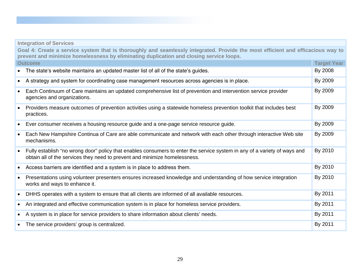### **Integration of Services**

**Goal 4: Create a service system that is thoroughly and seamlessly integrated. Provide the most efficient and efficacious way to prevent and minimize homelessness by eliminating duplication and closing service loops.** 

|           | <b>Outcome</b>                                                                                                                                                                                          | <b>Target Year</b> |
|-----------|---------------------------------------------------------------------------------------------------------------------------------------------------------------------------------------------------------|--------------------|
|           | The state's website maintains an updated master list of all of the state's guides.                                                                                                                      | By 2008            |
| $\bullet$ | A strategy and system for coordinating case management resources across agencies is in place.                                                                                                           | By 2009            |
| $\bullet$ | Each Continuum of Care maintains an updated comprehensive list of prevention and intervention service provider<br>agencies and organizations.                                                           | By 2009            |
| $\bullet$ | Providers measure outcomes of prevention activities using a statewide homeless prevention toolkit that includes best<br>practices.                                                                      | By 2009            |
| $\bullet$ | Ever consumer receives a housing resource guide and a one-page service resource guide.                                                                                                                  | By 2009            |
| $\bullet$ | Each New Hampshire Continua of Care are able communicate and network with each other through interactive Web site<br>mechanisms.                                                                        | By 2009            |
| $\bullet$ | Fully establish "no wrong door" policy that enables consumers to enter the service system in any of a variety of ways and<br>obtain all of the services they need to prevent and minimize homelessness. | By 2010            |
| $\bullet$ | Access barriers are identified and a system is in place to address them.                                                                                                                                | By 2010            |
| $\bullet$ | Presentations using volunteer presenters ensures increased knowledge and understanding of how service integration<br>works and ways to enhance it.                                                      | By 2010            |
| $\bullet$ | DHHS operates with a system to ensure that all clients are informed of all available resources.                                                                                                         | By 2011            |
| $\bullet$ | An integrated and effective communication system is in place for homeless service providers.                                                                                                            | By 2011            |
| ٠         | A system is in place for service providers to share information about clients' needs.                                                                                                                   | By 2011            |
| $\bullet$ | The service providers' group is centralized.                                                                                                                                                            | By 2011            |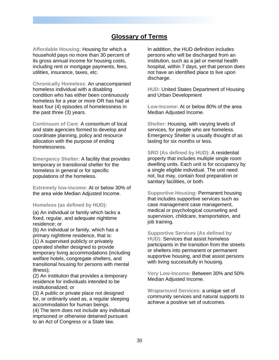# **Glossary of Terms**

**Affordable Housing:** Housing for which a household pays no more than 30 percent of its gross annual income for housing costs, including rent or mortgage payments, fees, utilities, insurance, taxes, etc.

**Chronically Homeless**: An unaccompanied homeless individual with a disabling condition who has either been continuously homeless for a year or more OR has had at least four (4) episodes of homelessness in the past three (3) years.

**Continuum of Care**: A consortium of local and state agencies formed to develop and coordinate planning, policy and resource allocation with the purpose of ending homelessness.

**Emergency Shelter:** A facility that provides temporary or transitional shelter for the homeless in general or for specific populations of the homeless.

**Extremely low-income:** At or below 30% of the area wide Median Adjusted Income.

**Homeless (as defined by HUD):**

(a) An individual or family which lacks a fixed, regular, and adequate nighttime residence; or

(b) An individual or family, which has a primary nighttime residence, that is: (1) A supervised publicly or privately operated shelter designed to provide temporary living accommodations (including welfare hotels, congregate shelters, and transitional housing for persons with mental illness);

(2) An institution that provides a temporary residence for individuals intended to be institutionalized; or

(3) A public or private place not designed for, or ordinarily used as, a regular sleeping accommodation for human beings.

(4) The term does not include any individual imprisoned or otherwise detained pursuant to an Act of Congress or a State law.

In addition, the HUD definition includes persons who will be discharged from an institution, such as a jail or mental health hospital, within 7 days, yet that person does not have an identified place to live upon discharge.

**HUD:** United States Department of Housing and Urban Development

**Low-Income:** At or below 80% of the area Median Adjusted Income.

**Shelter:** Housing, with varying levels of services, for people who are homeless. Emergency Shelter is usually thought of as lasting for six months or less.

**SRO (As defined by HUD):** A residential property that includes multiple single room dwelling units. Each unit is for occupancy by a single eligible individual. The unit need not, but may, contain food preparation or sanitary facilities, or both.

**Supportive Housing:** Permanent housing that includes supportive services such as case management case management, medical or psychological counseling and supervision, childcare, transportation, and job training.

**Supportive Services (As defined by HUD):** Services that assist homeless participants in the transition from the streets or shelters into permanent or permanent supportive housing, and that assist persons with living successfully in housing.

**Very Low-Income:** Between 30% and 50% Median Adjusted Income.

**Wraparound Services:** a unique set of community services and natural supports to achieve a positive set of outcomes.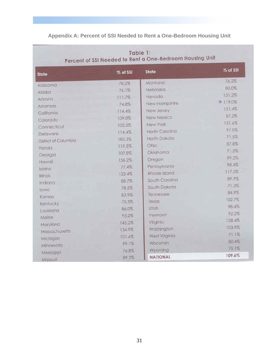# **Appendix A: Percent of SSI Needed to Rent a One-Bedroom Housing Unit**

| <b>State</b>         | % of SSI | <b>State</b>    | % of SSI             |
|----------------------|----------|-----------------|----------------------|
| Alabama              | 78.2%    | Montana         | 76.2%                |
| Alaska               | 76.1%    | Nebraska        | 80.0%                |
| Arizona              | 111.7%   | Nevada          | 131.2%               |
| Arkansas             | 74.8%    | New Hampshire   | $\rightarrow$ 119.0% |
| California           | 114.4%   | New Jersey      | 151.4%               |
| Colorado             | 109.0%   | New Mexico      | 87.2%                |
| Connecticut          | 102.5%   | New York        | 137.6%               |
| Delaware             | 114.4%   | North Carolina  | 97.0%                |
| District of Columbia | 185.3%   | North Dakota    | 71.5%                |
| Florida              | 119.5%   | Ohio            | 87.8%                |
| Georgia              | 107.8%   | Oklahoma        | 71.5%                |
| Hawaii               | 156.2%   | Oregon          | 99.2%                |
| Idaho                | 77.4%    | Pennsylvania    | 98.4%                |
| <b>Illinois</b>      | 123.4%   | Rhode Island    | 117.5%               |
| Indiana              | 88.7%    | South Carolina  | 89.9%                |
| lowa                 | 78.5%    | South Dakota    | 71.3%                |
| Kansas               | 83.9%    | Tennessee       | 84.9%                |
| Kentucky             | 75.5%    | Texas           | 102.7%               |
| Louisiana            | 86.0%    | Utah            | 98.4%                |
| Maine                | 93.2%    | Vermont         | 92.2%                |
| Maryland             | 145.2%   | Virginia        | 128.4%               |
| Massachusetts        | 134.9%   | Washington      | 103.9%               |
| Michigan             | 101.6%   | West Virginia   | 71.1%                |
| Minnesota            | 99.1%    | Wisconsin       | 80.4%                |
| Mississippi          | 76.8%    | Wyoming         | 75.1%                |
| Missouri             | 89.2%    | <b>NATIONAL</b> | 109.6%               |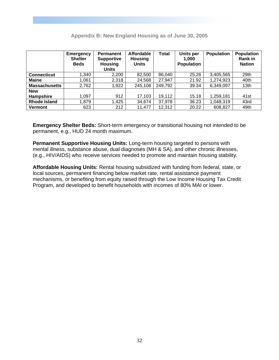|                      | <b>Emergency</b><br><b>Shelter</b><br><b>Beds</b> | <b>Permanent</b><br><b>Supportive</b><br><b>Housing</b><br><b>Units</b> | <b>Affordable</b><br><b>Housing</b><br><b>Units</b> | Total   | <b>Units per</b><br>1.000<br><b>Population</b> | <b>Population</b> | <b>Population</b><br>Rank in<br><b>Nation</b> |
|----------------------|---------------------------------------------------|-------------------------------------------------------------------------|-----------------------------------------------------|---------|------------------------------------------------|-------------------|-----------------------------------------------|
| <b>Connecticut</b>   | 1,340                                             | 2,200                                                                   | 82,500                                              | 86,040  | 25.26                                          | 3,405,565         | 29th                                          |
| <b>Maine</b>         | 1,061                                             | 2,318                                                                   | 24,568                                              | 27,947  | 21.92                                          | 1,274,923         | 40th                                          |
| <b>Massachusetts</b> | 2,762                                             | 1,922                                                                   | 245,108                                             | 249,792 | 39.34                                          | 6,349,097         | 13th                                          |
| <b>New</b>           |                                                   |                                                                         |                                                     |         |                                                |                   |                                               |
| Hampshire            | 1,097                                             | 912                                                                     | 17,103                                              | 19,112  | 15.18                                          | 1,259,181         | 41 <sub>st</sub>                              |
| <b>Rhode Island</b>  | 1,879                                             | 1,425                                                                   | 34,674                                              | 37,978  | 36.23                                          | 1,048,319         | 43rd                                          |
| <b>Vermont</b>       | 623                                               | 212                                                                     | 11,477                                              | 12,312  | 20.22                                          | 608,827           | 49th                                          |

#### **Appendix B: New England Housing as of June 30, 2005**

**Emergency Shelter Beds:** Short-term emergency or transitional housing not intended to be permanent, e.g., HUD 24 month maximum.

**Permanent Supportive Housing Units:** Long-term housing targeted to persons with mental illness, substance abuse, dual diagnoses (MH & SA), and other chronic illnesses, (e.g., HIV/AIDS) who receive services needed to promote and maintain housing stability.

**Affordable Housing Units:** Rental housing subsidized with funding from federal, state, or local sources, permanent financing below market rate, rental assistance payment mechanisms, or benefiting from equity raised through the Low Income Housing Tax Credit Program, and developed to benefit households with incomes of 80% MAI or lower.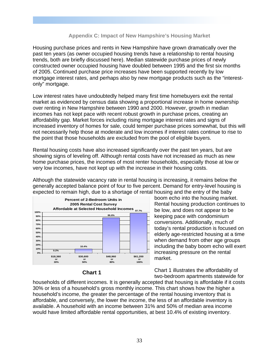#### **Appendix C: Impact of New Hampshire's Housing Market**

Housing purchase prices and rents in New Hampshire have grown dramatically over the past ten years (as owner occupied housing trends have a relationship to rental housing trends, both are briefly discussed here). Median statewide purchase prices of newly constructed owner occupied housing have doubled between 1995 and the first six months of 2005. Continued purchase price increases have been supported recently by low mortgage interest rates, and perhaps also by new mortgage products such as the "interestonly" mortgage.

Low interest rates have undoubtedly helped many first time homebuyers exit the rental market as evidenced by census data showing a proportional increase in home ownership over renting in New Hampshire between 1990 and 2000. However, growth in median incomes has not kept pace with recent robust growth in purchase prices, creating an affordability gap. Market forces including rising mortgage interest rates and signs of increased inventory of homes for sale, could temper purchase prices somewhat, but this will not necessarily help those at moderate and low incomes if interest rates continue to rise to the point that those households are excluded from the pool of eligible buyers.

Rental housing costs have also increased significantly over the past ten years, but are showing signs of leveling off. Although rental costs have not increased as much as new home purchase prices, the incomes of most renter households, especially those at low or very low incomes, have not kept up with the increase in their housing costs.

Although the statewide vacancy rate in rental housing is increasing, it remains below the generally accepted balance point of four to five percent. Demand for entry-level housing is expected to remain high, due to a shortage of rental housing and the entry of the baby



#### **Chart 1**

boom echo into the housing market. Rental housing production continues to be low, and does not appear to be keeping pace with condominium conversions. Additionally, much of today's rental production is focused on elderly age-restricted housing at a time when demand from other age groups including the baby boom echo will exert increasing pressure on the rental market.

Chart 1 illustrates the affordability of two-bedroom apartments statewide for

households of different incomes. It is generally accepted that housing is affordable if it costs 30% or less of a household's gross monthly income. This chart shows how the higher a household's income, the greater the percentage of the rental housing inventory that is affordable, and conversely, the lower the income, the less of an affordable inventory is available. A household with an income between 31% and 50% of median area income would have limited affordable rental opportunities, at best 10.4% of existing inventory.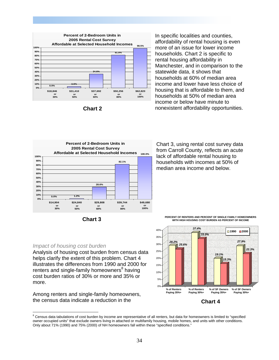



In specific localities and counties, affordability of rental housing is even more of an issue for lower income households. Chart 2 is specific to rental housing affordability in Manchester, and in comparison to the statewide data, it shows that households at 60% of median area income and lower have less choice of housing that is affordable to them, and households at 50% of median area income or below have minute to nonexistent affordability opportunities.





Analysis of housing cost burden from census data helps clarify the extent of this problem. Chart 4 illustrates the differences from 1990 and 2000 for renters and single-family homeowners<sup>8</sup> having cost burden ratios of 30% or more and 35% or

Among renters and single-family homeowners, the census data indicate a reduction in the

*Impact of housing cost burden* 

more.

 $\overline{a}$ 

Chart 3, using rental cost survey data from Carroll County, reflects an acute lack of affordable rental housing to households with incomes at 50% of median area income and below.

**PERCENT OF RENTERS AND PERCENT OF SINGLE FAMILY HOMEOWNERS WITH HIGH HOUSING COST BURDEN AS PERCENT OF INCOME**



**Chart 4** 

 $8$  Census data tabulations of cost burden by income are representative of all renters, but data for homeowners is limited to "specified owner occupied units" that exclude owners living in attached or multifamily housing, mobile homes, and units with other conditions. Only about 71% (1990) and 75% (2000) of NH homeowners fall within these "specified conditions."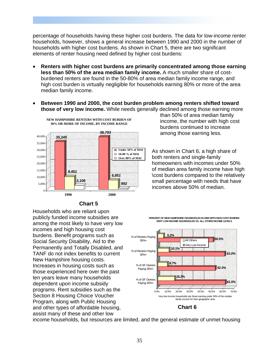percentage of households having these higher cost burdens. The data for low-income renter households, however, shows a general increase between 1990 and 2000 in the number of households with higher cost burdens. As shown in Chart 5, there are two significant elements of renter housing need defined by higher cost burdens:

- **Renters with higher cost burdens are primarily concentrated among those earning less than 50% of the area median family income.** A much smaller share of costburdened renters are found in the 50-80% of area median family income range, and high cost burden is virtually negligible for households earning 80% or more of the area median family income.
- **Between 1990 and 2000, the cost burden problem among renters shifted toward those of very low income.** While needs generally declined among those earning more



**Chart 5** 

Households who are reliant upon publicly funded income subsidies are among the most likely to have very low incomes and high housing cost burdens. Benefit programs such as Social Security Disability, Aid to the Permanently and Totally Disabled, and TANF do not index benefits to current New Hampshire housing costs. Increases in housing costs such as those experienced here over the past ten years leave many households dependent upon income subsidy programs. Rent subsidies such as the Section 8 Housing Choice Voucher Program, along with Public Housing and other types of affordable housing, assist many of these and other low

than 50% of area median family income, the number with high cost burdens continued to increase among those earning less.

As shown in Chart 6, a high share of both renters and single-family homeowners with incomes under 50% of median area family income have high \cost burdens compared to the relatively small percentage with needs that have incomes above 50% of median.



income households, but resources are limited, and the general estimate of unmet housing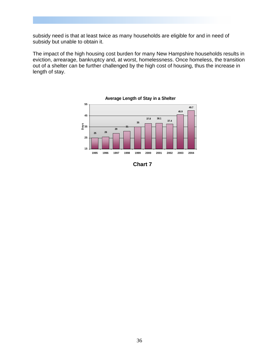subsidy need is that at least twice as many households are eligible for and in need of subsidy but unable to obtain it.

The impact of the high housing cost burden for many New Hampshire households results in eviction, arrearage, bankruptcy and, at worst, homelessness. Once homeless, the transition out of a shelter can be further challenged by the high cost of housing, thus the increase in length of stay.



**Chart 7**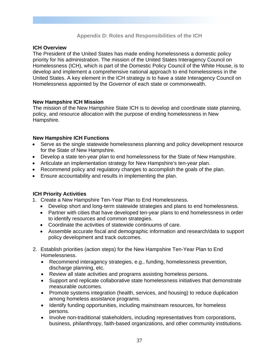#### **Appendix D: Roles and Responsibilities of the ICH**

#### **ICH Overview**

The President of the United States has made ending homelessness a domestic policy priority for his administration. The mission of the United States Interagency Council on Homelessness (ICH), which is part of the Domestic Policy Council of the White House, is to develop and implement a comprehensive national approach to end homelessness in the United States. A key element in the ICH strategy is to have a state Interagency Council on Homelessness appointed by the Governor of each state or commonwealth.

#### **New Hampshire ICH Mission**

The mission of the New Hampshire State ICH is to develop and coordinate state planning, policy, and resource allocation with the purpose of ending homelessness in New Hampshire.

#### **New Hampshire ICH Functions**

- Serve as the single statewide homelessness planning and policy development resource for the State of New Hampshire.
- Develop a state ten-year plan to end homelessness for the State of New Hampshire.
- Articulate an implementation strategy for New Hampshire's ten-year plan.
- Recommend policy and regulatory changes to accomplish the goals of the plan.
- Ensure accountability and results in implementing the plan.

#### **ICH Priority Activities**

- 1. Create a New Hampshire Ten-Year Plan to End Homelessness.
	- Develop short and long-term statewide strategies and plans to end homelessness.
	- Partner with cities that have developed ten-year plans to end homelessness in order to identify resources and common strategies.
	- Coordinate the activities of statewide continuums of care.
	- Assemble accurate fiscal and demographic information and research/data to support policy development and track outcomes.
- 2. Establish priorities (action steps) for the New Hampshire Ten-Year Plan to End Homelessness.
	- Recommend interagency strategies, e.g., funding, homelessness prevention, discharge planning, etc.
	- Review all state activities and programs assisting homeless persons.
	- Support and replicate collaborative state homelessness initiatives that demonstrate measurable outcomes.
	- Promote systems integration (health, services, and housing) to reduce duplication among homeless assistance programs.
	- Identify funding opportunities, including mainstream resources, for homeless persons.
	- Involve non-traditional stakeholders, including representatives from corporations, business, philanthropy, faith-based organizations, and other community institutions.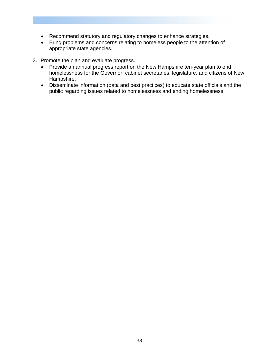- Recommend statutory and regulatory changes to enhance strategies.
- Bring problems and concerns relating to homeless people to the attention of appropriate state agencies.
- 3. Promote the plan and evaluate progress.
	- Provide an annual progress report on the New Hampshire ten-year plan to end homelessness for the Governor, cabinet secretaries, legislature, and citizens of New Hampshire.
	- Disseminate information (data and best practices) to educate state officials and the public regarding issues related to homelessness and ending homelessness.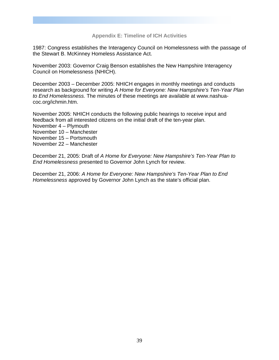#### **Appendix E: Timeline of ICH Activities**

1987: Congress establishes the Interagency Council on Homelessness with the passage of the Stewart B. McKinney Homeless Assistance Act.

November 2003: Governor Craig Benson establishes the New Hampshire Interagency Council on Homelessness (NHICH).

December 2003 – December 2005: NHICH engages in monthly meetings and conducts research as background for writing *A Home for Everyone: New Hampshire's Ten-Year Plan to End Homelessness.* The minutes of these meetings are available at www.nashuacoc.org/ichmin.htm.

November 2005: NHICH conducts the following public hearings to receive input and feedback from all interested citizens on the initial draft of the ten-year plan. November 4 – Plymouth November 10 – Manchester November 15 – Portsmouth

November 22 – Manchester

December 21, 2005: Draft of *A Home for Everyone: New Hampshire's Ten-Year Plan to End Homelessness* presented to Governor John Lynch for review.

December 21, 2006: *A Home for Everyone: New Hampshire's Ten-Year Plan to End Homelessness* approved by Governor John Lynch as the state's official plan.